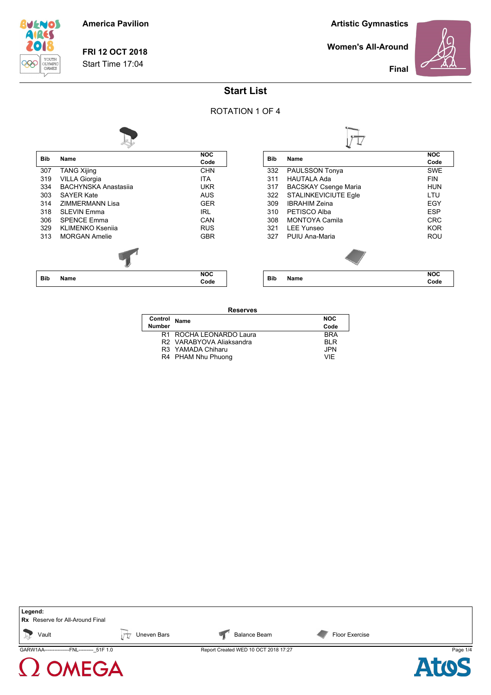

**FRI 12 OCT 2018** Start Time 17:04

**Artistic Gymnastics**

**Women's All-Around**



**Final**

## **Start List**



**Reserves**

| Control       | Name                     | <b>NOC</b> |
|---------------|--------------------------|------------|
| <b>Number</b> |                          | Code       |
|               | R1 ROCHA LEONARDO Laura  | <b>BRA</b> |
|               | R2 VARABYOVA Aliaksandra | BI R       |
|               | R3 YAMADA Chiharu        | JPN.       |
|               | R4 PHAM Nhu Phuong       | VIF        |
|               |                          |            |

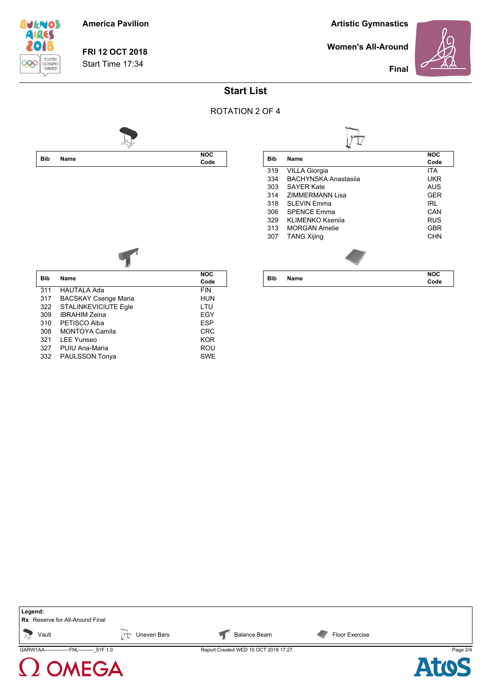

**FRI 12 OCT 2018** Start Time 17:34

**Artistic Gymnastics**

**Women's All-Around**



**Final**

## **Start List**



| Bib | Name                        | <b>NOC</b> |  |
|-----|-----------------------------|------------|--|
|     |                             | Code       |  |
| 319 | VILLA Giorgia               | <b>ITA</b> |  |
| 334 | <b>BACHYNSKA Anastasija</b> | UKR        |  |
| 303 | <b>SAYER Kate</b>           | AUS        |  |
| 314 | <b>ZIMMERMANN Lisa</b>      | GER        |  |
| 318 | SI FVIN Fmma                | IRI        |  |
| 306 | <b>SPENCE Emma</b>          | CAN        |  |
| 329 | KLIMENKO Ksenija            | <b>RUS</b> |  |
| 313 | MORGAN Amelie               | <b>GBR</b> |  |
| 307 | <b>TANG Xijing</b>          | CHN        |  |
|     |                             |            |  |
| Bib | Name                        | NOC        |  |
|     |                             | Code       |  |



| <b>Bib</b> | Name                        | <b>NOC</b> |
|------------|-----------------------------|------------|
|            |                             | Code       |
| 311        | <b>HAUTALA Ada</b>          | <b>FIN</b> |
| 317        | <b>BACSKAY Csenge Maria</b> | <b>HUN</b> |
| 322        | <b>STALINKEVICIUTE Egle</b> | LTU        |
| 309        | <b>IBRAHIM Zeina</b>        | EGY        |
| 310        | PETISCO Alba                | <b>ESP</b> |
| 308        | <b>MONTOYA Camila</b>       | <b>CRC</b> |
| 321        | I FF Yunseo                 | <b>KOR</b> |
| 327        | PUIU Ana-Maria              | ROU        |
| 332        | PAULSSON Tonya              | <b>SWE</b> |
|            |                             |            |



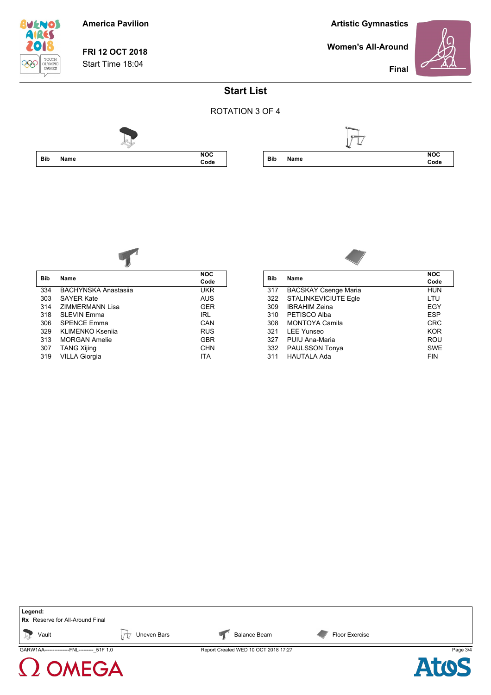

**FRI 12 OCT 2018** Start Time 18:04

**Artistic Gymnastics**

**Women's All-Around**



**Final**

## **Start List**







| <b>Bib</b> | Name                        | <b>NOC</b> |
|------------|-----------------------------|------------|
|            |                             | Code       |
| 334        | <b>BACHYNSKA Anastasija</b> | UKR        |
| 303        | <b>SAYER Kate</b>           | <b>AUS</b> |
| 314        | ZIMMERMANN Lisa             | <b>GER</b> |
| 318        | <b>SLEVIN Emma</b>          | IRL.       |
| 306        | <b>SPENCE Emma</b>          | CAN        |
| 329        | KLIMENKO Ksenija            | <b>RUS</b> |
| 313        | <b>MORGAN Amelie</b>        | GBR        |
| 307        | <b>TANG Xijing</b>          | CHN        |
| 319        | <b>VILLA Giorgia</b>        | ITA        |



|            |                             | <b>NOC</b> |
|------------|-----------------------------|------------|
| <b>Bib</b> | Name                        | Code       |
| 317        | <b>BACSKAY Csenge Maria</b> | HUN        |
| 322        | <b>STALINKEVICIUTE Egle</b> | LTU        |
| 309        | <b>IBRAHIM Zeina</b>        | EGY        |
| 310        | PETISCO Alba                | <b>ESP</b> |
| 308        | <b>MONTOYA Camila</b>       | <b>CRC</b> |
| 321        | <b>LEE Yunseo</b>           | <b>KOR</b> |
| 327        | PUIU Ana-Maria              | ROU        |
| 332        | PAULSSON Tonya              | <b>SWE</b> |
| 311        | <b>HAUTALA Ada</b>          | <b>FIN</b> |
|            |                             |            |